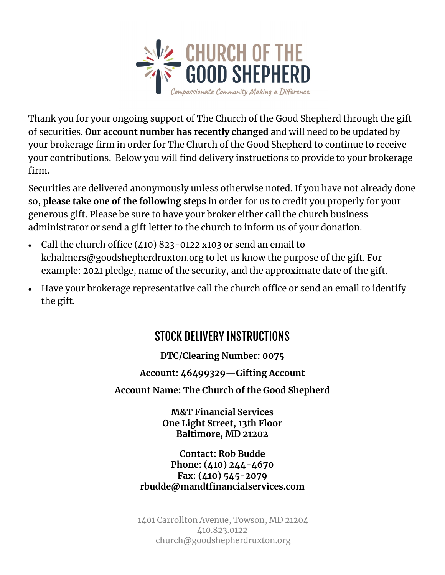

Thank you for your ongoing support of The Church of the Good Shepherd through the gift of securities. **Our account number has recently changed** and will need to be updated by your brokerage firm in order for The Church of the Good Shepherd to continue to receive your contributions. Below you will find delivery instructions to provide to your brokerage firm.

Securities are delivered anonymously unless otherwise noted. If you have not already done so, **please take one of the following steps** in order for us to credit you properly for your generous gift. Please be sure to have your broker either call the church business administrator or send a gift letter to the church to inform us of your donation.

- Call the church office  $(410)$  823-0122 x103 or send an email to kchalmers@goodshepherdruxton.org to let us know the purpose of the gift. For example: 2021 pledge, name of the security, and the approximate date of the gift.
- Have your brokerage representative call the church office or send an email to identify the gift.

#### **STOCK DELIVERY INSTRUCTIONS**

**DTC/Clearing Number: 0075**

**Account: 46499329—Gifting Account**

**Account Name: The Church of the Good Shepherd**

**M&T Financial Services One Light Street, 13th Floor Baltimore, MD 21202**

**Contact: Rob Budde Phone: (410) 244-4670 Fax: (410) 545-2079 rbudde@mandtfinancialservices.com**

1401 Carrollton Avenue, Towson, MD 21204 410.823.0122 church@goodshepherdruxton.org